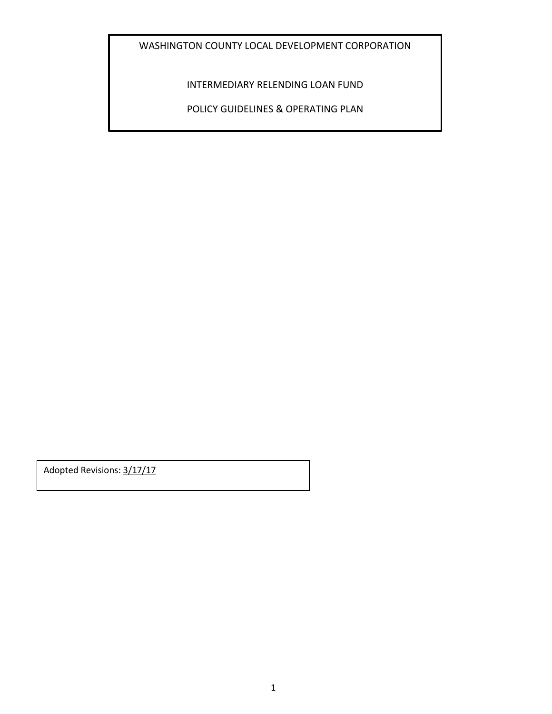WASHINGTON COUNTY LOCAL DEVELOPMENT CORPORATION

INTERMEDIARY RELENDING LOAN FUND

POLICY GUIDELINES & OPERATING PLAN

Adopted Revisions: 3/17/17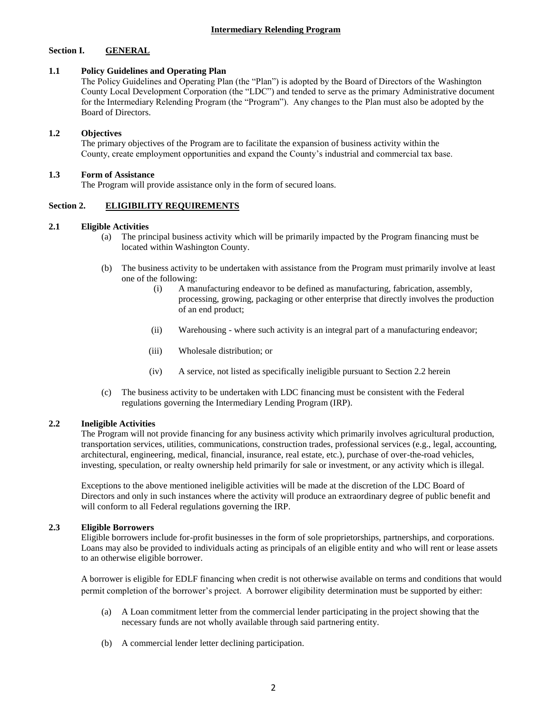# **Section I. GENERAL**

# **1.1 Policy Guidelines and Operating Plan**

The Policy Guidelines and Operating Plan (the "Plan") is adopted by the Board of Directors of the Washington County Local Development Corporation (the "LDC") and tended to serve as the primary Administrative document for the Intermediary Relending Program (the "Program"). Any changes to the Plan must also be adopted by the Board of Directors.

# **1.2 Objectives**

The primary objectives of the Program are to facilitate the expansion of business activity within the County, create employment opportunities and expand the County's industrial and commercial tax base.

# **1.3 Form of Assistance**

The Program will provide assistance only in the form of secured loans.

# **Section 2. ELIGIBILITY REQUIREMENTS**

### **2.1 Eligible Activities**

- (a) The principal business activity which will be primarily impacted by the Program financing must be located within Washington County.
- (b) The business activity to be undertaken with assistance from the Program must primarily involve at least one of the following:
	- (i) A manufacturing endeavor to be defined as manufacturing, fabrication, assembly, processing, growing, packaging or other enterprise that directly involves the production of an end product;
	- (ii) Warehousing where such activity is an integral part of a manufacturing endeavor;
	- (iii) Wholesale distribution; or
	- (iv) A service, not listed as specifically ineligible pursuant to Section 2.2 herein
- (c) The business activity to be undertaken with LDC financing must be consistent with the Federal regulations governing the Intermediary Lending Program (IRP).

# **2.2 Ineligible Activities**

The Program will not provide financing for any business activity which primarily involves agricultural production, transportation services, utilities, communications, construction trades, professional services (e.g., legal, accounting, architectural, engineering, medical, financial, insurance, real estate, etc.), purchase of over-the-road vehicles, investing, speculation, or realty ownership held primarily for sale or investment, or any activity which is illegal.

Exceptions to the above mentioned ineligible activities will be made at the discretion of the LDC Board of Directors and only in such instances where the activity will produce an extraordinary degree of public benefit and will conform to all Federal regulations governing the IRP.

# **2.3 Eligible Borrowers**

Eligible borrowers include for-profit businesses in the form of sole proprietorships, partnerships, and corporations. Loans may also be provided to individuals acting as principals of an eligible entity and who will rent or lease assets to an otherwise eligible borrower.

A borrower is eligible for EDLF financing when credit is not otherwise available on terms and conditions that would permit completion of the borrower's project. A borrower eligibility determination must be supported by either:

- (a) A Loan commitment letter from the commercial lender participating in the project showing that the necessary funds are not wholly available through said partnering entity.
- (b) A commercial lender letter declining participation.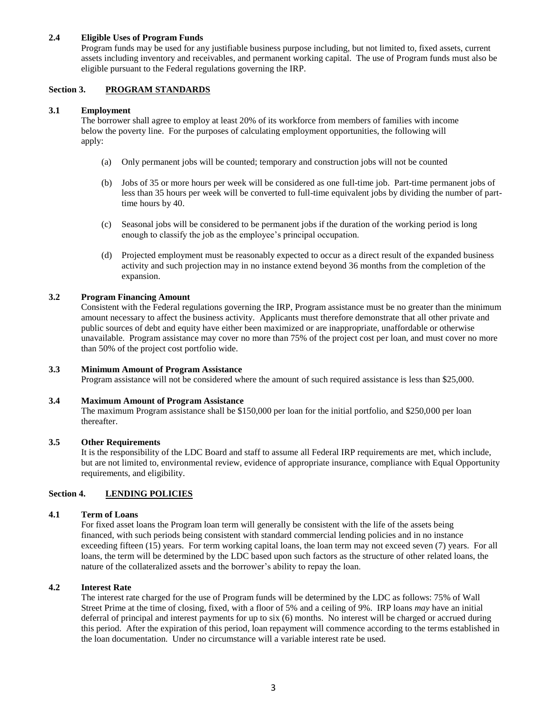# **2.4 Eligible Uses of Program Funds**

Program funds may be used for any justifiable business purpose including, but not limited to, fixed assets, current assets including inventory and receivables, and permanent working capital. The use of Program funds must also be eligible pursuant to the Federal regulations governing the IRP.

# **Section 3. PROGRAM STANDARDS**

## **3.1 Employment**

The borrower shall agree to employ at least 20% of its workforce from members of families with income below the poverty line. For the purposes of calculating employment opportunities, the following will apply:

- (a) Only permanent jobs will be counted; temporary and construction jobs will not be counted
- (b) Jobs of 35 or more hours per week will be considered as one full-time job. Part-time permanent jobs of less than 35 hours per week will be converted to full-time equivalent jobs by dividing the number of parttime hours by 40.
- (c) Seasonal jobs will be considered to be permanent jobs if the duration of the working period is long enough to classify the job as the employee's principal occupation.
- (d) Projected employment must be reasonably expected to occur as a direct result of the expanded business activity and such projection may in no instance extend beyond 36 months from the completion of the expansion.

# **3.2 Program Financing Amount**

Consistent with the Federal regulations governing the IRP, Program assistance must be no greater than the minimum amount necessary to affect the business activity. Applicants must therefore demonstrate that all other private and public sources of debt and equity have either been maximized or are inappropriate, unaffordable or otherwise unavailable. Program assistance may cover no more than 75% of the project cost per loan, and must cover no more than 50% of the project cost portfolio wide.

# **3.3 Minimum Amount of Program Assistance**

Program assistance will not be considered where the amount of such required assistance is less than \$25,000.

## **3.4 Maximum Amount of Program Assistance**

The maximum Program assistance shall be \$150,000 per loan for the initial portfolio, and \$250,000 per loan thereafter.

### **3.5 Other Requirements**

It is the responsibility of the LDC Board and staff to assume all Federal IRP requirements are met, which include, but are not limited to, environmental review, evidence of appropriate insurance, compliance with Equal Opportunity requirements, and eligibility.

# **Section 4. LENDING POLICIES**

#### **4.1 Term of Loans**

For fixed asset loans the Program loan term will generally be consistent with the life of the assets being financed, with such periods being consistent with standard commercial lending policies and in no instance exceeding fifteen (15) years. For term working capital loans, the loan term may not exceed seven (7) years. For all loans, the term will be determined by the LDC based upon such factors as the structure of other related loans, the nature of the collateralized assets and the borrower's ability to repay the loan.

#### **4.2 Interest Rate**

The interest rate charged for the use of Program funds will be determined by the LDC as follows: 75% of Wall Street Prime at the time of closing, fixed, with a floor of 5% and a ceiling of 9%. IRP loans *may* have an initial deferral of principal and interest payments for up to six (6) months. No interest will be charged or accrued during this period. After the expiration of this period, loan repayment will commence according to the terms established in the loan documentation. Under no circumstance will a variable interest rate be used.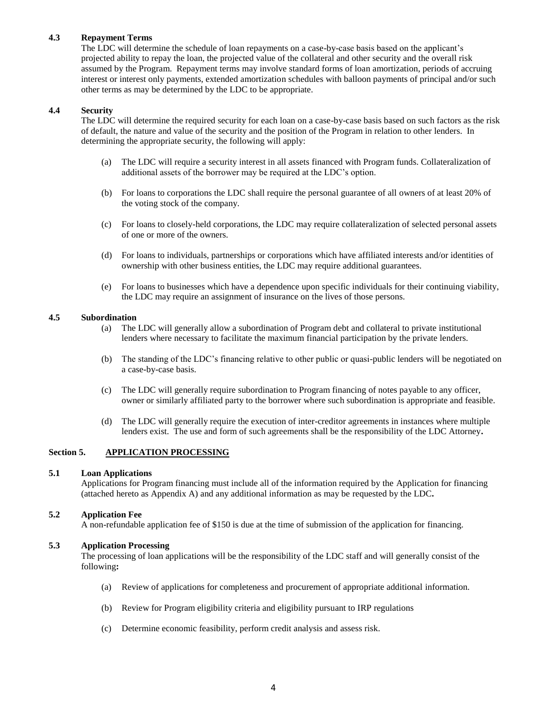# **4.3 Repayment Terms**

The LDC will determine the schedule of loan repayments on a case-by-case basis based on the applicant's projected ability to repay the loan, the projected value of the collateral and other security and the overall risk assumed by the Program. Repayment terms may involve standard forms of loan amortization, periods of accruing interest or interest only payments, extended amortization schedules with balloon payments of principal and/or such other terms as may be determined by the LDC to be appropriate.

### **4.4 Security**

The LDC will determine the required security for each loan on a case-by-case basis based on such factors as the risk of default, the nature and value of the security and the position of the Program in relation to other lenders. In determining the appropriate security, the following will apply:

- (a) The LDC will require a security interest in all assets financed with Program funds. Collateralization of additional assets of the borrower may be required at the LDC's option.
- (b) For loans to corporations the LDC shall require the personal guarantee of all owners of at least 20% of the voting stock of the company.
- (c) For loans to closely-held corporations, the LDC may require collateralization of selected personal assets of one or more of the owners.
- (d) For loans to individuals, partnerships or corporations which have affiliated interests and/or identities of ownership with other business entities, the LDC may require additional guarantees.
- (e) For loans to businesses which have a dependence upon specific individuals for their continuing viability, the LDC may require an assignment of insurance on the lives of those persons.

### **4.5 Subordination**

- (a) The LDC will generally allow a subordination of Program debt and collateral to private institutional lenders where necessary to facilitate the maximum financial participation by the private lenders.
- (b) The standing of the LDC's financing relative to other public or quasi-public lenders will be negotiated on a case-by-case basis.
- (c) The LDC will generally require subordination to Program financing of notes payable to any officer, owner or similarly affiliated party to the borrower where such subordination is appropriate and feasible.
- (d) The LDC will generally require the execution of inter-creditor agreements in instances where multiple lenders exist. The use and form of such agreements shall be the responsibility of the LDC Attorney**.**

# **Section 5. APPLICATION PROCESSING**

#### **5.1 Loan Applications**

Applications for Program financing must include all of the information required by the Application for financing (attached hereto as Appendix A) and any additional information as may be requested by the LDC**.** 

#### **5.2 Application Fee**

A non-refundable application fee of \$150 is due at the time of submission of the application for financing.

#### **5.3 Application Processing**

The processing of loan applications will be the responsibility of the LDC staff and will generally consist of the following**:**

- (a) Review of applications for completeness and procurement of appropriate additional information.
- (b) Review for Program eligibility criteria and eligibility pursuant to IRP regulations
- (c) Determine economic feasibility, perform credit analysis and assess risk.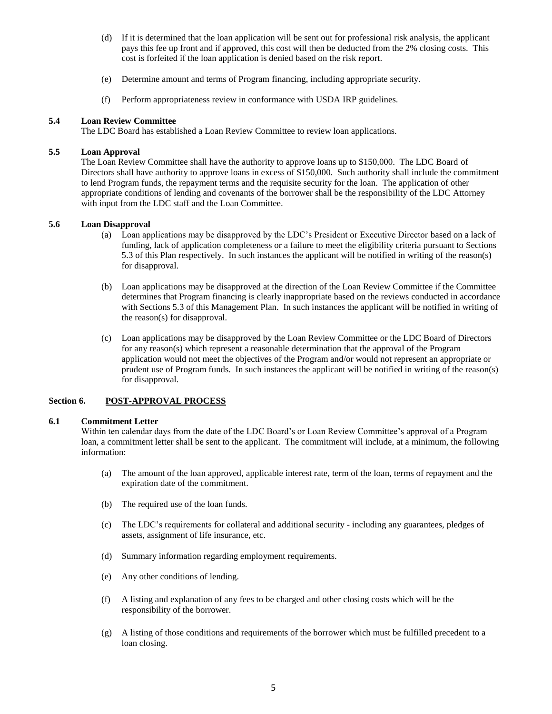- (d) If it is determined that the loan application will be sent out for professional risk analysis, the applicant pays this fee up front and if approved, this cost will then be deducted from the 2% closing costs. This cost is forfeited if the loan application is denied based on the risk report.
- (e) Determine amount and terms of Program financing, including appropriate security.
- (f) Perform appropriateness review in conformance with USDA IRP guidelines.

## **5.4 Loan Review Committee**

The LDC Board has established a Loan Review Committee to review loan applications.

#### **5.5 Loan Approval**

The Loan Review Committee shall have the authority to approve loans up to \$150,000. The LDC Board of Directors shall have authority to approve loans in excess of \$150,000. Such authority shall include the commitment to lend Program funds, the repayment terms and the requisite security for the loan. The application of other appropriate conditions of lending and covenants of the borrower shall be the responsibility of the LDC Attorney with input from the LDC staff and the Loan Committee.

# **5.6 Loan Disapproval**

- (a) Loan applications may be disapproved by the LDC's President or Executive Director based on a lack of funding, lack of application completeness or a failure to meet the eligibility criteria pursuant to Sections 5.3 of this Plan respectively. In such instances the applicant will be notified in writing of the reason(s) for disapproval.
- (b) Loan applications may be disapproved at the direction of the Loan Review Committee if the Committee determines that Program financing is clearly inappropriate based on the reviews conducted in accordance with Sections 5.3 of this Management Plan. In such instances the applicant will be notified in writing of the reason(s) for disapproval.
- (c) Loan applications may be disapproved by the Loan Review Committee or the LDC Board of Directors for any reason(s) which represent a reasonable determination that the approval of the Program application would not meet the objectives of the Program and/or would not represent an appropriate or prudent use of Program funds. In such instances the applicant will be notified in writing of the reason(s) for disapproval.

# **Section 6. POST-APPROVAL PROCESS**

#### **6.1 Commitment Letter**

Within ten calendar days from the date of the LDC Board's or Loan Review Committee's approval of a Program loan, a commitment letter shall be sent to the applicant. The commitment will include, at a minimum, the following information:

- (a) The amount of the loan approved, applicable interest rate, term of the loan, terms of repayment and the expiration date of the commitment.
- (b) The required use of the loan funds.
- (c) The LDC's requirements for collateral and additional security including any guarantees, pledges of assets, assignment of life insurance, etc.
- (d) Summary information regarding employment requirements.
- (e) Any other conditions of lending.
- (f) A listing and explanation of any fees to be charged and other closing costs which will be the responsibility of the borrower.
- (g) A listing of those conditions and requirements of the borrower which must be fulfilled precedent to a loan closing.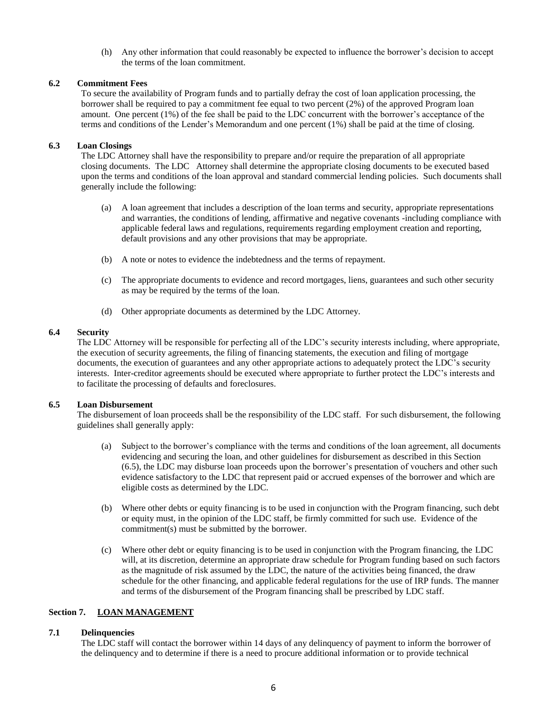(h) Any other information that could reasonably be expected to influence the borrower's decision to accept the terms of the loan commitment.

# **6.2 Commitment Fees**

To secure the availability of Program funds and to partially defray the cost of loan application processing, the borrower shall be required to pay a commitment fee equal to two percent (2%) of the approved Program loan amount. One percent (1%) of the fee shall be paid to the LDC concurrent with the borrower's acceptance of the terms and conditions of the Lender's Memorandum and one percent (1%) shall be paid at the time of closing.

#### **6.3 Loan Closings**

The LDC Attorney shall have the responsibility to prepare and/or require the preparation of all appropriate closing documents. The LDC Attorney shall determine the appropriate closing documents to be executed based upon the terms and conditions of the loan approval and standard commercial lending policies. Such documents shall generally include the following:

- (a) A loan agreement that includes a description of the loan terms and security, appropriate representations and warranties, the conditions of lending, affirmative and negative covenants -including compliance with applicable federal laws and regulations, requirements regarding employment creation and reporting, default provisions and any other provisions that may be appropriate.
- (b) A note or notes to evidence the indebtedness and the terms of repayment.
- (c) The appropriate documents to evidence and record mortgages, liens, guarantees and such other security as may be required by the terms of the loan.
- (d) Other appropriate documents as determined by the LDC Attorney.

### **6.4 Security**

The LDC Attorney will be responsible for perfecting all of the LDC's security interests including, where appropriate, the execution of security agreements, the filing of financing statements, the execution and filing of mortgage documents, the execution of guarantees and any other appropriate actions to adequately protect the LDC's security interests. Inter-creditor agreements should be executed where appropriate to further protect the LDC's interests and to facilitate the processing of defaults and foreclosures.

#### **6.5 Loan Disbursement**

The disbursement of loan proceeds shall be the responsibility of the LDC staff. For such disbursement, the following guidelines shall generally apply:

- (a) Subject to the borrower's compliance with the terms and conditions of the loan agreement, all documents evidencing and securing the loan, and other guidelines for disbursement as described in this Section (6.5), the LDC may disburse loan proceeds upon the borrower's presentation of vouchers and other such evidence satisfactory to the LDC that represent paid or accrued expenses of the borrower and which are eligible costs as determined by the LDC.
- (b) Where other debts or equity financing is to be used in conjunction with the Program financing, such debt or equity must, in the opinion of the LDC staff, be firmly committed for such use. Evidence of the commitment(s) must be submitted by the borrower.
- (c) Where other debt or equity financing is to be used in conjunction with the Program financing, the LDC will, at its discretion, determine an appropriate draw schedule for Program funding based on such factors as the magnitude of risk assumed by the LDC, the nature of the activities being financed, the draw schedule for the other financing, and applicable federal regulations for the use of IRP funds. The manner and terms of the disbursement of the Program financing shall be prescribed by LDC staff.

## **Section 7. LOAN MANAGEMENT**

# **7.1 Delinquencies**

The LDC staff will contact the borrower within 14 days of any delinquency of payment to inform the borrower of the delinquency and to determine if there is a need to procure additional information or to provide technical